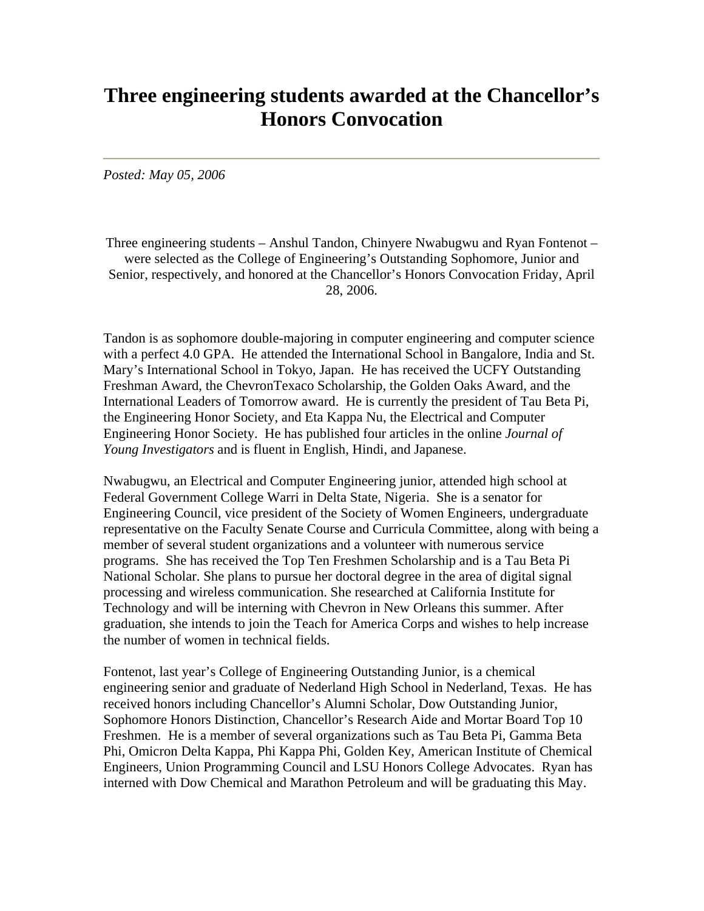## **Three engineering students awarded at the Chancellor's Honors Convocation**

*Posted: May 05, 2006*

Three engineering students – Anshul Tandon, Chinyere Nwabugwu and Ryan Fontenot – were selected as the College of Engineering's Outstanding Sophomore, Junior and Senior, respectively, and honored at the Chancellor's Honors Convocation Friday, April 28, 2006.

Tandon is as sophomore double-majoring in computer engineering and computer science with a perfect 4.0 GPA. He attended the International School in Bangalore, India and St. Mary's International School in Tokyo, Japan. He has received the UCFY Outstanding Freshman Award, the ChevronTexaco Scholarship, the Golden Oaks Award, and the International Leaders of Tomorrow award. He is currently the president of Tau Beta Pi, the Engineering Honor Society, and Eta Kappa Nu, the Electrical and Computer Engineering Honor Society. He has published four articles in the online *Journal of Young Investigators* and is fluent in English, Hindi, and Japanese.

Nwabugwu, an Electrical and Computer Engineering junior, attended high school at Federal Government College Warri in Delta State, Nigeria. She is a senator for Engineering Council, vice president of the Society of Women Engineers, undergraduate representative on the Faculty Senate Course and Curricula Committee, along with being a member of several student organizations and a volunteer with numerous service programs. She has received the Top Ten Freshmen Scholarship and is a Tau Beta Pi National Scholar. She plans to pursue her doctoral degree in the area of digital signal processing and wireless communication. She researched at California Institute for Technology and will be interning with Chevron in New Orleans this summer. After graduation, she intends to join the Teach for America Corps and wishes to help increase the number of women in technical fields.

Fontenot, last year's College of Engineering Outstanding Junior, is a chemical engineering senior and graduate of Nederland High School in Nederland, Texas. He has received honors including Chancellor's Alumni Scholar, Dow Outstanding Junior, Sophomore Honors Distinction, Chancellor's Research Aide and Mortar Board Top 10 Freshmen. He is a member of several organizations such as Tau Beta Pi, Gamma Beta Phi, Omicron Delta Kappa, Phi Kappa Phi, Golden Key, American Institute of Chemical Engineers, Union Programming Council and LSU Honors College Advocates. Ryan has interned with Dow Chemical and Marathon Petroleum and will be graduating this May.